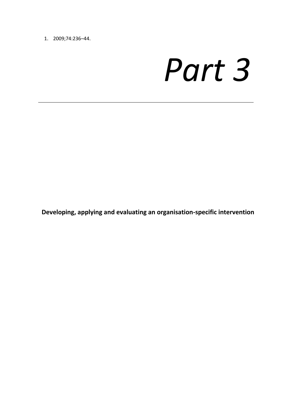1. 2009;74:236–44.

# *Part 3*

**Developing, applying and evaluating an organisation-specific intervention**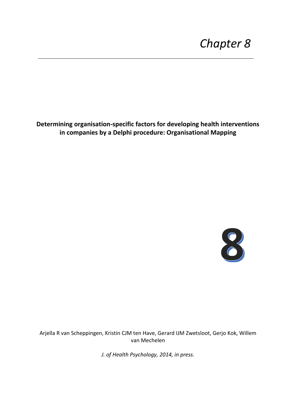**Determining organisation-specific factors for developing health interventions in companies by a Delphi procedure: Organisational Mapping**



Arjella R van Scheppingen, Kristin CJM ten Have, Gerard IJM Zwetsloot, Gerjo Kok, Willem van Mechelen

*J. of Health Psychology, 2014, in press.*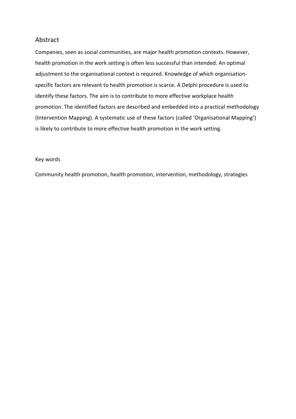# Abstract

Companies, seen as social communities, are major health promotion contexts. However, health promotion in the work setting is often less successful than intended. An optimal adjustment to the organisational context is required. Knowledge of which organisationspecific factors are relevant to health promotion is scarce. A Delphi procedure is used to identify these factors. The aim is to contribute to more effective workplace health promotion. The identified factors are described and embedded into a practical methodology (Intervention Mapping). A systematic use of these factors (called 'Organisational Mapping') is likely to contribute to more effective health promotion in the work setting.

## Key words

Community health promotion, health promotion, intervention, methodology, strategies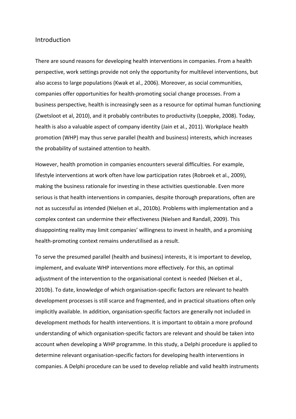## Introduction

There are sound reasons for developing health interventions in companies. From a health perspective, work settings provide not only the opportunity for multilevel interventions, but also access to large populations (Kwak et al., 2006). Moreover, as social communities, companies offer opportunities for health-promoting social change processes. From a business perspective, health is increasingly seen as a resource for optimal human functioning (Zwetsloot et al, 2010), and it probably contributes to productivity (Loeppke, 2008). Today, health is also a valuable aspect of company identity (Jain et al., 2011). Workplace health promotion (WHP) may thus serve parallel (health and business) interests, which increases the probability of sustained attention to health.

However, health promotion in companies encounters several difficulties. For example, lifestyle interventions at work often have low participation rates (Robroek et al., 2009), making the business rationale for investing in these activities questionable. Even more serious is that health interventions in companies, despite thorough preparations, often are not as successful as intended (Nielsen et al., 2010b). Problems with implementation and a complex context can undermine their effectiveness (Nielsen and Randall, 2009). This disappointing reality may limit companies' willingness to invest in health, and a promising health-promoting context remains underutilised as a result.

To serve the presumed parallel (health and business) interests, it is important to develop, implement, and evaluate WHP interventions more effectively. For this, an optimal adjustment of the intervention to the organisational context is needed (Nielsen et al., 2010b). To date, knowledge of which organisation-specific factors are relevant to health development processes is still scarce and fragmented, and in practical situations often only implicitly available. In addition, organisation-specific factors are generally not included in development methods for health interventions. It is important to obtain a more profound understanding of which organisation-specific factors are relevant and should be taken into account when developing a WHP programme. In this study, a Delphi procedure is applied to determine relevant organisation-specific factors for developing health interventions in companies. A Delphi procedure can be used to develop reliable and valid health instruments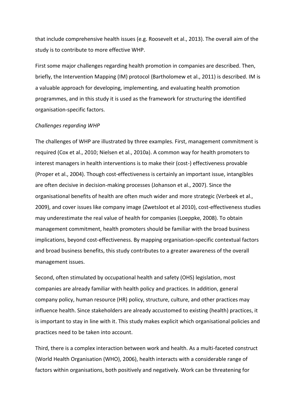that include comprehensive health issues (e.g. Roosevelt et al., 2013). The overall aim of the study is to contribute to more effective WHP.

First some major challenges regarding health promotion in companies are described. Then, briefly, the Intervention Mapping (IM) protocol (Bartholomew et al., 2011) is described. IM is a valuable approach for developing, implementing, and evaluating health promotion programmes, and in this study it is used as the framework for structuring the identified organisation-specific factors.

#### *Challenges regarding WHP*

The challenges of WHP are illustrated by three examples. First, management commitment is required (Cox et al., 2010; Nielsen et al., 2010a). A common way for health promoters to interest managers in health interventions is to make their (cost-) effectiveness provable (Proper et al., 2004). Though cost-effectiveness is certainly an important issue, intangibles are often decisive in decision-making processes (Johanson et al., 2007). Since the organisational benefits of health are often much wider and more strategic (Verbeek et al., 2009), and cover issues like company image (Zwetsloot et al 2010), cost-effectiveness studies may underestimate the real value of health for companies (Loeppke, 2008). To obtain management commitment, health promoters should be familiar with the broad business implications, beyond cost-effectiveness. By mapping organisation-specific contextual factors and broad business benefits, this study contributes to a greater awareness of the overall management issues.

Second, often stimulated by occupational health and safety (OHS) legislation, most companies are already familiar with health policy and practices. In addition, general company policy, human resource (HR) policy, structure, culture, and other practices may influence health. Since stakeholders are already accustomed to existing (health) practices, it is important to stay in line with it. This study makes explicit which organisational policies and practices need to be taken into account.

Third, there is a complex interaction between work and health. As a multi-faceted construct (World Health Organisation (WHO), 2006), health interacts with a considerable range of factors within organisations, both positively and negatively. Work can be threatening for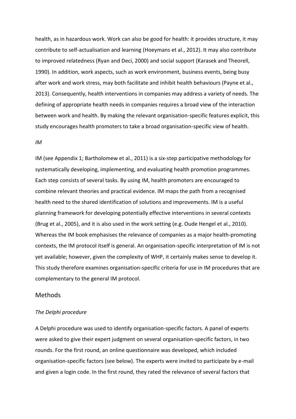health, as in hazardous work. Work can also be good for health: it provides structure, it may contribute to self-actualisation and learning (Hoeymans et al., 2012). It may also contribute to improved relatedness (Ryan and Deci, 2000) and social support (Karasek and Theorell, 1990). In addition, work aspects, such as work environment, business events, being busy after work and work stress, may both facilitate and inhibit health behaviours (Payne et al., 2013). Consequently, health interventions in companies may address a variety of needs. The defining of appropriate health needs in companies requires a broad view of the interaction between work and health. By making the relevant organisation-specific features explicit, this study encourages health promoters to take a broad organisation-specific view of health.

#### *IM*

IM (see Appendix 1; Bartholomew et al., 2011) is a six-step participative methodology for systematically developing, implementing, and evaluating health promotion programmes. Each step consists of several tasks. By using IM, health promoters are encouraged to combine relevant theories and practical evidence. IM maps the path from a recognised health need to the shared identification of solutions and improvements. IM is a useful planning framework for developing potentially effective interventions in several contexts (Brug et al., 2005), and it is also used in the work setting (e.g. Oude Hengel et al., 2010). Whereas the IM book emphasises the relevance of companies as a major health-promoting contexts, the IM protocol itself is general. An organisation-specific interpretation of IM is not yet available; however, given the complexity of WHP, it certainly makes sense to develop it. This study therefore examines organisation-specific criteria for use in IM procedures that are complementary to the general IM protocol.

#### Methods

#### *The Delphi procedure*

A Delphi procedure was used to identify organisation-specific factors. A panel of experts were asked to give their expert judgment on several organisation-specific factors, in two rounds. For the first round, an online questionnaire was developed, which included organisation-specific factors (see below). The experts were invited to participate by e-mail and given a login code. In the first round, they rated the relevance of several factors that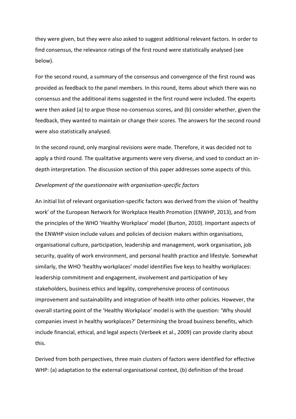they were given, but they were also asked to suggest additional relevant factors. In order to find consensus, the relevance ratings of the first round were statistically analysed (see below).

For the second round, a summary of the consensus and convergence of the first round was provided as feedback to the panel members. In this round, items about which there was no consensus and the additional items suggested in the first round were included. The experts were then asked (a) to argue those no-consensus scores, and (b) consider whether, given the feedback, they wanted to maintain or change their scores. The answers for the second round were also statistically analysed.

In the second round, only marginal revisions were made. Therefore, it was decided not to apply a third round. The qualitative arguments were very diverse, and used to conduct an indepth interpretation. The discussion section of this paper addresses some aspects of this.

#### *Development of the questionnaire with organisation-specific factors*

An initial list of relevant organisation-specific factors was derived from the vision of 'healthy work' of the European Network for Workplace Health Promotion (ENWHP, 2013), and from the principles of the WHO 'Healthy Workplace' model (Burton, 2010). Important aspects of the ENWHP vision include values and policies of decision makers within organisations, organisational culture, participation, leadership and management, work organisation, job security, quality of work environment, and personal health practice and lifestyle. Somewhat similarly, the WHO 'healthy workplaces' model identifies five keys to healthy workplaces: leadership commitment and engagement, involvement and participation of key stakeholders, business ethics and legality, comprehensive process of continuous improvement and sustainability and integration of health into other policies. However, the overall starting point of the 'Healthy Workplace' model is with the question: 'Why should companies invest in healthy workplaces?' Determining the broad business benefits, which include financial, ethical, and legal aspects (Verbeek et al., 2009) can provide clarity about this.

Derived from both perspectives, three main clusters of factors were identified for effective WHP: (a) adaptation to the external organisational context, (b) definition of the broad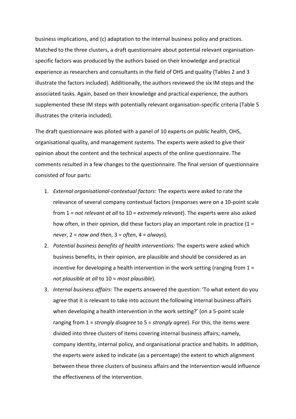business implications, and (c) adaptation to the internal business policy and practices. Matched to the three clusters, a draft questionnaire about potential relevant organisationspecific factors was produced by the authors based on their knowledge and practical experience as researchers and consultants in the field of OHS and quality (Tables 2 and 3 illustrate the factors included). Additionally, the authors reviewed the six IM steps and the associated tasks. Again, based on their knowledge and practical experience, the authors supplemented these IM steps with potentially relevant organisation-specific criteria (Table 5 illustrates the criteria included).

The draft questionnaire was piloted with a panel of 10 experts on public health, OHS, organisational quality, and management systems. The experts were asked to give their opinion about the content and the technical aspects of the online questionnaire. The comments resulted in a few changes to the questionnaire. The final version of questionnaire consisted of four parts:

- 1. *External organisational-contextual factors*: The experts were asked to rate the relevance of several company contextual factors (responses were on a 10-point scale from 1 = *not relevant at all* to 10 = *extremely relevant*). The experts were also asked how often, in their opinion, did these factors play an important role in practice  $(1 =$ *never*, 2 = *now and then*, 3 = *often*, 4 = *always*).
- 2. *Potential business benefits of health interventions:* The experts were asked which business benefits, in their opinion, are plausible and should be considered as an incentive for developing a health intervention in the work setting (ranging from  $1 =$ *not plausible at all* to 10 = *most plausible*).
- 3. *Internal business affairs:* The experts answered the question: 'To what extent do you agree that it is relevant to take into account the following internal business affairs when developing a health intervention in the work setting?' (on a 5-point scale ranging from 1 = *strongly disagree* to 5 = *strongly agree*). For this, the items were divided into three clusters of items covering internal business affairs; namely, company identity, internal policy, and organisational practice and habits. In addition, the experts were asked to indicate (as a percentage) the extent to which alignment between these three clusters of business affairs and the intervention would influence the effectiveness of the intervention.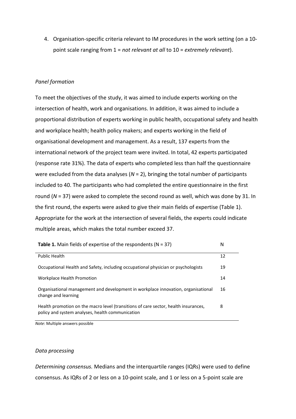4. Organisation-specific criteria relevant to IM procedures in the work setting (on a 10 point scale ranging from 1 = *not relevant at all* to 10 = *extremely relevant*).

## *Panel formation*

To meet the objectives of the study, it was aimed to include experts working on the intersection of health, work and organisations. In addition, it was aimed to include a proportional distribution of experts working in public health, occupational safety and health and workplace health; health policy makers; and experts working in the field of organisational development and management. As a result, 137 experts from the international network of the project team were invited. In total, 42 experts participated (response rate 31%). The data of experts who completed less than half the questionnaire were excluded from the data analyses  $(N = 2)$ , bringing the total number of participants included to 40. The participants who had completed the entire questionnaire in the first round (*N* = 37) were asked to complete the second round as well, which was done by 31. In the first round, the experts were asked to give their main fields of expertise (Table 1). Appropriate for the work at the intersection of several fields, the experts could indicate multiple areas, which makes the total number exceed 37.

| <b>Table 1.</b> Main fields of expertise of the respondents ( $N = 37$ )                                                                | N  |
|-----------------------------------------------------------------------------------------------------------------------------------------|----|
| <b>Public Health</b>                                                                                                                    | 12 |
| Occupational Health and Safety, including occupational physician or psychologists                                                       | 19 |
| <b>Workplace Health Promotion</b>                                                                                                       | 14 |
| Organisational management and development in workplace innovation, organisational<br>change and learning                                | 16 |
| Health promotion on the macro level (transitions of care sector, health insurances,<br>policy and system analyses, health communication | 8  |

*Note*: Multiple answers possible

## *Data processing*

*Determining consensus.* Medians and the interquartile ranges (IQRs) were used to define consensus. As IQRs of 2 or less on a 10-point scale, and 1 or less on a 5-point scale are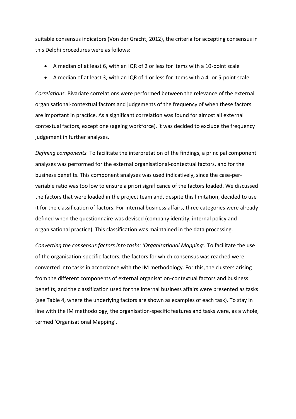suitable consensus indicators (Von der Gracht, 2012), the criteria for accepting consensus in this Delphi procedures were as follows:

- A median of at least 6, with an IQR of 2 or less for items with a 10-point scale
- A median of at least 3, with an IQR of 1 or less for items with a 4- or 5-point scale.

*Correlations.* Bivariate correlations were performed between the relevance of the external organisational-contextual factors and judgements of the frequency of when these factors are important in practice. As a significant correlation was found for almost all external contextual factors, except one (ageing workforce), it was decided to exclude the frequency judgement in further analyses.

*Defining components.* To facilitate the interpretation of the findings, a principal component analyses was performed for the external organisational-contextual factors, and for the business benefits. This component analyses was used indicatively, since the case-pervariable ratio was too low to ensure a priori significance of the factors loaded. We discussed the factors that were loaded in the project team and, despite this limitation, decided to use it for the classification of factors. For internal business affairs, three categories were already defined when the questionnaire was devised (company identity, internal policy and organisational practice). This classification was maintained in the data processing.

*Converting the consensus factors into tasks: 'Organisational Mapping'.* To facilitate the use of the organisation-specific factors, the factors for which consensus was reached were converted into tasks in accordance with the IM methodology. For this, the clusters arising from the different components of external organisation-contextual factors and business benefits, and the classification used for the internal business affairs were presented as tasks (see Table 4, where the underlying factors are shown as examples of each task). To stay in line with the IM methodology, the organisation-specific features and tasks were, as a whole, termed 'Organisational Mapping'.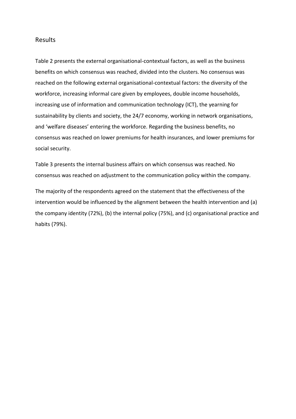## Results

Table 2 presents the external organisational-contextual factors, as well as the business benefits on which consensus was reached, divided into the clusters. No consensus was reached on the following external organisational-contextual factors: the diversity of the workforce, increasing informal care given by employees, double income households, increasing use of information and communication technology (ICT), the yearning for sustainability by clients and society, the 24/7 economy, working in network organisations, and 'welfare diseases' entering the workforce. Regarding the business benefits, no consensus was reached on lower premiums for health insurances, and lower premiums for social security.

Table 3 presents the internal business affairs on which consensus was reached. No consensus was reached on adjustment to the communication policy within the company.

The majority of the respondents agreed on the statement that the effectiveness of the intervention would be influenced by the alignment between the health intervention and (a) the company identity (72%), (b) the internal policy (75%), and (c) organisational practice and habits (79%).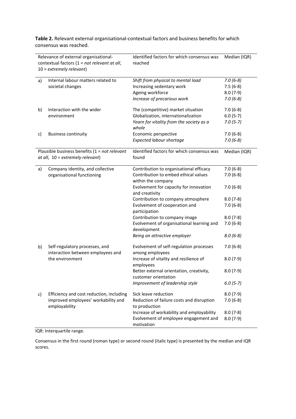| Relevance of external organisational-        |                                                                     | Identified factors for which consensus was<br>Median (IQR) |              |
|----------------------------------------------|---------------------------------------------------------------------|------------------------------------------------------------|--------------|
| contextual factors (1 = not relevant at all, |                                                                     | reached                                                    |              |
|                                              | $10 = extremely relevant$ )                                         |                                                            |              |
| a)                                           | Internal labour matters related to                                  | Shift from physical to mental load                         | $7.0(6-8)$   |
|                                              | societal changes                                                    | Increasing sedentary work                                  | $7.5(6-8)$   |
|                                              |                                                                     | Ageing workforce                                           | $8.0(7-9)$   |
|                                              |                                                                     | Increase of precarious work                                | $7.0(6-8)$   |
| b)                                           | Interaction with the wider                                          | The (competitive) market situation                         | $7.0(6-8)$   |
|                                              | environment                                                         | Globalization, internationalization                        | $6.0(5-7)$   |
|                                              |                                                                     | Yearn for vitality from the society as a<br>whole          | $7.0(5-7)$   |
| c)                                           | <b>Business continuity</b>                                          | Economic perspective                                       | $7.0(6-8)$   |
|                                              |                                                                     | <b>Expected labour shortage</b>                            | $7.0(6-8)$   |
|                                              |                                                                     |                                                            |              |
|                                              | Plausible business benefits $(1 = not relevant)$                    | Identified factors for which consensus was                 | Median (IQR) |
|                                              | at all, 10 = extremely relevant)                                    | found                                                      |              |
| a)                                           | Company identity, and collective                                    | Contribution to organisational efficacy                    | $7.0(6-8)$   |
|                                              | organisational functioning                                          | Contribution to embed ethical values<br>within the company | $7.0(6-8)$   |
|                                              |                                                                     | Evolvement for capacity for innovation                     | $7.0(6-8)$   |
|                                              |                                                                     | and creativity                                             |              |
|                                              |                                                                     | Contribution to company atmosphere                         | $8.0(7-8)$   |
|                                              |                                                                     | Evolvement of cooperation and<br>participation             | $7.0(6-8)$   |
|                                              |                                                                     | Contribution to company image                              | $8.0(7-8)$   |
|                                              |                                                                     | Evolvement of organisational learning and<br>development   | $7.0(6-8)$   |
|                                              |                                                                     | Being an attractive employer                               | $8.0(6-8)$   |
|                                              |                                                                     |                                                            |              |
| b)                                           | Self-regulatory processes, and<br>interaction between employees and | Evolvement of self-regulation processes<br>among employees | $7.0(6-8)$   |
|                                              | the environment                                                     | Increase of vitality and resilience of<br>employees        | $8.0(7-9)$   |
|                                              |                                                                     | Better external orientation, creativity,                   | $8.0(7-9)$   |
|                                              |                                                                     | customer orientation<br>Improvement of leadership style    |              |
|                                              |                                                                     |                                                            | $6.0(5-7)$   |
| c)                                           | Efficiency and cost reduction, including                            | Sick leave reduction                                       | $8.0(7-9)$   |
|                                              | improved employees' workability and                                 | Reduction of failure costs and disruption                  | $7.0(6-8)$   |
|                                              | employability                                                       | to production                                              |              |
|                                              |                                                                     | Increase of workability and employability                  | $8.0(7-8)$   |
|                                              |                                                                     | Evolvement of employee engagement and                      | $8.0(7-9)$   |
|                                              |                                                                     | motivation                                                 |              |

**Table 2.** Relevant external organisational-contextual factors and business benefits for which consensus was reached.

IQR: Interquartile range.

Consensus in the first round (roman type) or second round (italic type) is presented by the median and IQR scores.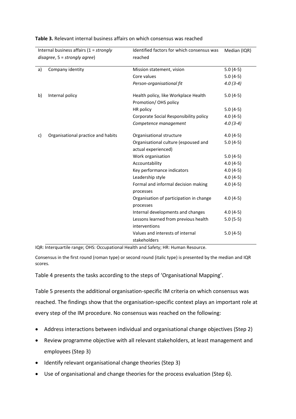| Internal business affairs $(1 = strongly$<br>$disagree, 5 = strongly agree)$ |                                    | Identified factors for which consensus was<br>reached       | Median (IQR) |
|------------------------------------------------------------------------------|------------------------------------|-------------------------------------------------------------|--------------|
| a)                                                                           | Company identity                   | Mission statement, vision                                   | $5.0(4-5)$   |
|                                                                              |                                    | Core values                                                 | $5.0(4-5)$   |
|                                                                              |                                    | Person-organisational fit                                   | $4.0(3-4)$   |
| b)                                                                           | Internal policy                    | Health policy, like Workplace Health                        | $5.0(4-5)$   |
|                                                                              |                                    | Promotion/OHS policy                                        |              |
|                                                                              |                                    | HR policy                                                   | $5.0(4-5)$   |
|                                                                              |                                    | Corporate Social Responsibility policy                      | $4.0(4-5)$   |
|                                                                              |                                    | Competence management                                       | $4.0(3-4)$   |
| c)                                                                           | Organisational practice and habits | Organisational structure                                    | $4.0(4-5)$   |
|                                                                              |                                    | Organisational culture (espoused and<br>actual experienced) | $5.0(4-5)$   |
|                                                                              |                                    | Work organisation                                           | $5.0(4-5)$   |
|                                                                              |                                    | Accountability                                              | $4.0(4-5)$   |
|                                                                              |                                    | Key performance indicators                                  | $4.0(4-5)$   |
|                                                                              |                                    | Leadership style                                            | $4.0(4-5)$   |
|                                                                              |                                    | Formal and informal decision making<br>processes            | $4.0(4-5)$   |
|                                                                              |                                    | Organisation of participation in change<br>processes        | $4.0(4-5)$   |
|                                                                              |                                    | Internal developments and changes                           | $4.0(4-5)$   |
|                                                                              |                                    | Lessons learned from previous health<br>interventions       | $5.0(5-5)$   |
|                                                                              |                                    | Values and interests of internal<br>stakeholders            | $5.0(4-5)$   |

**Table 3.** Relevant internal business affairs on which consensus was reached

IQR: Interquartile range; OHS: Occupational Health and Safety; HR: Human Resource.

Consensus in the first round (roman type) or second round (italic type) is presented by the median and IQR scores.

Table 4 presents the tasks according to the steps of 'Organisational Mapping'.

Table 5 presents the additional organisation-specific IM criteria on which consensus was reached. The findings show that the organisation-specific context plays an important role at every step of the IM procedure. No consensus was reached on the following:

- Address interactions between individual and organisational change objectives (Step 2)
- Review programme objective with all relevant stakeholders, at least management and employees (Step 3)
- Identify relevant organisational change theories (Step 3)
- Use of organisational and change theories for the process evaluation (Step 6).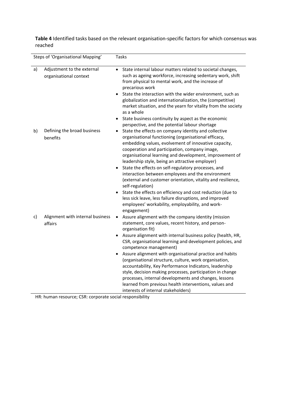|    | Steps of 'Organisational Mapping'                    | Tasks                                                                                                                                                                                                                                                                                                                                                                                                                                                                                                                                                                                                                                                                                                                                                                                        |
|----|------------------------------------------------------|----------------------------------------------------------------------------------------------------------------------------------------------------------------------------------------------------------------------------------------------------------------------------------------------------------------------------------------------------------------------------------------------------------------------------------------------------------------------------------------------------------------------------------------------------------------------------------------------------------------------------------------------------------------------------------------------------------------------------------------------------------------------------------------------|
| a) | Adjustment to the external<br>organisational context | State internal labour matters related to societal changes,<br>$\bullet$<br>such as ageing workforce, increasing sedentary work, shift<br>from physical to mental work, and the increase of<br>precarious work<br>State the interaction with the wider environment, such as<br>globalization and internationalization, the (competitive)<br>market situation, and the yearn for vitality from the society<br>as a whole<br>State business continuity by aspect as the economic<br>$\bullet$                                                                                                                                                                                                                                                                                                   |
| b) | Defining the broad business<br>benefits              | perspective, and the potential labour shortage<br>State the effects on company identity and collective<br>$\bullet$<br>organisational functioning (organisational efficacy,<br>embedding values, evolvement of innovative capacity,<br>cooperation and participation, company image,<br>organisational learning and development, improvement of<br>leadership style, being an attractive employer)<br>State the effects on self-regulatory processes, and<br>interaction between employees and the environment<br>(external and customer orientation, vitality and resilience,<br>self-regulation)<br>State the effects on efficiency and cost reduction (due to<br>$\bullet$<br>less sick leave, less failure disruptions, and improved<br>employees' workability, employability, and work- |
| c) | Alignment with internal business<br>affairs          | engagement)<br>Assure alignment with the company identity (mission<br>$\bullet$<br>statement, core values, recent history, and person-<br>organisation fit)<br>Assure alignment with internal business policy (health, HR,<br>CSR, organisational learning and development policies, and<br>competence management)<br>Assure alignment with organisational practice and habits<br>$\bullet$<br>(organisational structure, culture, work organisation,<br>accountability, Key Performance Indicators, leadership<br>style, decision making processes, participation in change<br>processes, internal developments and changes, lessons<br>learned from previous health interventions, values and<br>interests of internal stakeholders)                                                       |

**Table 4** Identified tasks based on the relevant organisation-specific factors for which consensus was reached

HR: human resource; CSR: corporate social responsibility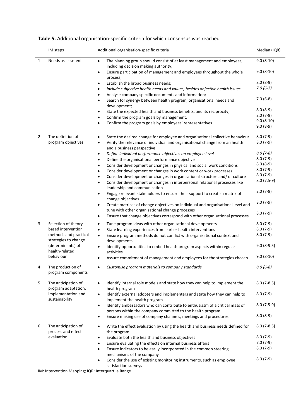|                | IM steps                                      | Additional organisation-specific criteria                                                                                                              | Median (IQR) |
|----------------|-----------------------------------------------|--------------------------------------------------------------------------------------------------------------------------------------------------------|--------------|
| 1              | Needs assessment                              | The planning group should consist of at least management and employees,<br>$\bullet$<br>including decision making authority;                           | $9.0(8-10)$  |
|                |                                               | Ensure participation of management and employees throughout the whole<br>$\bullet$                                                                     | $9.0(8-10)$  |
|                |                                               | process;<br>Establish the broad business needs;                                                                                                        | $8.0(8-9)$   |
|                |                                               | $\bullet$<br>Include subjective health needs and values, besides objective health issues<br>$\bullet$                                                  | $7.0(6-7)$   |
|                |                                               | Analyse company specific documents and information;<br>$\bullet$                                                                                       |              |
|                |                                               | Search for synergy between health program, organisational needs and<br>$\bullet$<br>development;                                                       | $7.0(6-8)$   |
|                |                                               | State the expected health and business benefits, and its reciprocity;<br>$\bullet$                                                                     | $8.0(8-9)$   |
|                |                                               | Confirm the program goals by management;<br>$\bullet$                                                                                                  | $8.0(7-9)$   |
|                |                                               | Confirm the program goals by employees' representatives<br>$\bullet$                                                                                   | $9.0(8-10)$  |
|                |                                               |                                                                                                                                                        | $9.0(8-9)$   |
| $\overline{2}$ | The definition of                             | State the desired change for employee and organisational collective behaviour.                                                                         | $8.0(7-9)$   |
|                | program objectives                            | Verify the relevance of individual and organisational change from an health<br>$\bullet$<br>and a business perspective                                 | $8.0(7-9)$   |
|                |                                               | Define individual performance objectives on employee level<br>$\bullet$                                                                                | $8.0(7-8)$   |
|                |                                               | Define the organisational performance objective<br>$\bullet$                                                                                           | $8.0(7-9)$   |
|                |                                               | Consider development or changes in physical and social work conditions<br>$\bullet$                                                                    | $8.0(8-9)$   |
|                |                                               | Consider development or changes in work content or work processes<br>$\bullet$                                                                         | $8.0(7-9)$   |
|                |                                               | Consider development or changes in organisational structure and/ or culture<br>$\bullet$                                                               | $8.0(7-9)$   |
|                |                                               | Consider development or changes in interpersonal relational processes like<br>$\bullet$<br>leadership and communication                                | $8.0(7.5-9)$ |
|                |                                               | Engage relevant stakeholders to ensure their support to create a matrix of<br>$\bullet$<br>change objectives                                           | $8.0(7-9)$   |
|                |                                               | Create matrices of change objectives on individual and organisational level and<br>$\bullet$                                                           | $8.0(7-9)$   |
|                |                                               | tune with other organisational change processes<br>Ensure that change objectives correspond with other organisational processes<br>$\bullet$           | $8.0(7-9)$   |
| 3              | Selection of theory-                          | Tune program ideas with other organisational developments<br>$\bullet$                                                                                 | $8.0(7-9)$   |
|                | based intervention                            | State learning experiences from earlier health interventions<br>$\bullet$                                                                              | $8.0(7-9)$   |
|                | methods and practical<br>strategies to change | Ensure program methods do not conflict with organisational context and<br>$\bullet$<br>developments                                                    | $8.0(7-9)$   |
|                | (determinants) of<br>health-related           | Identify opportunities to embed health program aspects within regular<br>activities                                                                    | $9.0(8-9.5)$ |
|                | behaviour                                     | Assure commitment of management and employees for the strategies chosen                                                                                | $9.0(8-10)$  |
|                | The production of<br>program components       | Customise program materials to company standards                                                                                                       | $8.0(6-8)$   |
| 5              | The anticipation of<br>program adaptation,    | Identify internal role models and state how they can help to implement the<br>$\bullet$<br>health program                                              | $8.0(7-8.5)$ |
|                | implementation and<br>sustainability          | Identify external adopters and implementers and state how they can help to<br>$\bullet$<br>implement the health program                                | $8.0(7-9)$   |
|                |                                               | Identify ambassadors who can contribute to enthusiasm of a critical mass of<br>$\bullet$<br>persons within the company committed to the health program | $8.0(7.5-9)$ |
|                |                                               | Ensure making use of company channels, meetings and procedures<br>$\bullet$                                                                            | $8.0(8-9)$   |
| 6              | The anticipation of<br>process and effect     | Write the effect evaluation by using the health and business needs defined for<br>$\bullet$<br>the program                                             | $8.0(7-8.5)$ |
|                | evaluation.                                   | Evaluate both the health and business objectives<br>$\bullet$                                                                                          | $8.0(7-9)$   |
|                |                                               | Ensure evaluating the effects on internal business affairs<br>$\bullet$                                                                                | $7.0(7-9)$   |
|                |                                               | Ensure indicators to be easily incorporated in the common steering<br>$\bullet$<br>mechanisms of the company                                           | $8.0(7-9)$   |
|                |                                               | Consider the use of existing monitoring instruments, such as employee<br>$\bullet$<br>satisfaction surveys                                             | $8.0(7-9)$   |
|                |                                               |                                                                                                                                                        |              |

|  |  |  | Table 5. Additional organisation-specific criteria for which consensus was reached |
|--|--|--|------------------------------------------------------------------------------------|
|--|--|--|------------------------------------------------------------------------------------|

IM: Intervention Mapping; IQR: Interquartile Range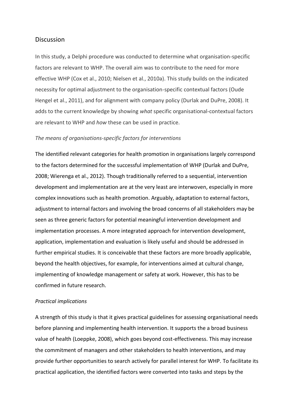## **Discussion**

In this study, a Delphi procedure was conducted to determine what organisation-specific factors are relevant to WHP. The overall aim was to contribute to the need for more effective WHP (Cox et al., 2010; Nielsen et al., 2010a). This study builds on the indicated necessity for optimal adjustment to the organisation-specific contextual factors (Oude Hengel et al., 2011), and for alignment with company policy (Durlak and DuPre, 2008). It adds to the current knowledge by showing *what* specific organisational-contextual factors are relevant to WHP and *how* these can be used in practice.

#### *The means of organisations-specific factors for interventions*

The identified relevant categories for health promotion in organisations largely correspond to the factors determined for the successful implementation of WHP (Durlak and DuPre, 2008; Wierenga et al., 2012). Though traditionally referred to a sequential, intervention development and implementation are at the very least are interwoven, especially in more complex innovations such as health promotion. Arguably, adaptation to external factors, adjustment to internal factors and involving the broad concerns of all stakeholders may be seen as three generic factors for potential meaningful intervention development and implementation processes. A more integrated approach for intervention development, application, implementation and evaluation is likely useful and should be addressed in further empirical studies. It is conceivable that these factors are more broadly applicable, beyond the health objectives, for example, for interventions aimed at cultural change, implementing of knowledge management or safety at work. However, this has to be confirmed in future research.

## *Practical implications*

A strength of this study is that it gives practical guidelines for assessing organisational needs before planning and implementing health intervention. It supports the a broad business value of health (Loeppke, 2008), which goes beyond cost-effectiveness. This may increase the commitment of managers and other stakeholders to health interventions, and may provide further opportunities to search actively for parallel interest for WHP. To facilitate its practical application, the identified factors were converted into tasks and steps by the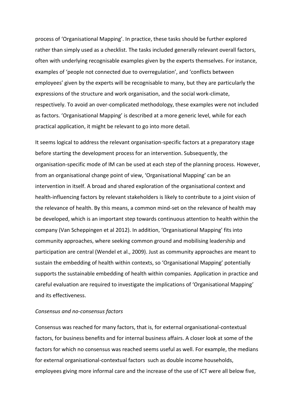process of 'Organisational Mapping'. In practice, these tasks should be further explored rather than simply used as a checklist. The tasks included generally relevant overall factors, often with underlying recognisable examples given by the experts themselves. For instance, examples of 'people not connected due to overregulation', and 'conflicts between employees' given by the experts will be recognisable to many, but they are particularly the expressions of the structure and work organisation, and the social work-climate, respectively. To avoid an over-complicated methodology, these examples were not included as factors. 'Organisational Mapping' is described at a more generic level, while for each practical application, it might be relevant to go into more detail.

It seems logical to address the relevant organisation-specific factors at a preparatory stage before starting the development process for an intervention. Subsequently, the organisation-specific mode of IM can be used at each step of the planning process. However, from an organisational change point of view, 'Organisational Mapping' can be an intervention in itself. A broad and shared exploration of the organisational context and health-influencing factors by relevant stakeholders is likely to contribute to a joint vision of the relevance of health. By this means, a common mind-set on the relevance of health may be developed, which is an important step towards continuous attention to health within the company (Van Scheppingen et al 2012). In addition, 'Organisational Mapping' fits into community approaches, where seeking common ground and mobilising leadership and participation are central (Wendel et al., 2009). Just as community approaches are meant to sustain the embedding of health within contexts, so 'Organisational Mapping' potentially supports the sustainable embedding of health within companies. Application in practice and careful evaluation are required to investigate the implications of 'Organisational Mapping' and its effectiveness.

#### *Consensus and no-consensus factors*

Consensus was reached for many factors, that is, for external organisational-contextual factors, for business benefits and for internal business affairs. A closer look at some of the factors for which no consensus was reached seems useful as well. For example, the medians for external organisational-contextual factors such as double income households, employees giving more informal care and the increase of the use of ICT were all below five,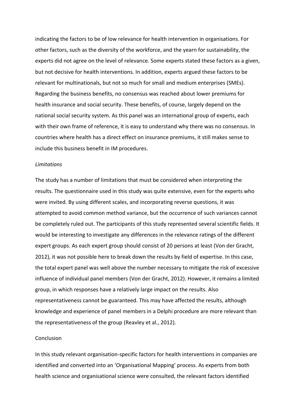indicating the factors to be of low relevance for health intervention in organisations. For other factors, such as the diversity of the workforce, and the yearn for sustainability, the experts did not agree on the level of relevance. Some experts stated these factors as a given, but not decisive for health interventions. In addition, experts argued these factors to be relevant for multinationals, but not so much for small and medium enterprises (SMEs). Regarding the business benefits, no consensus was reached about lower premiums for health insurance and social security. These benefits, of course, largely depend on the national social security system. As this panel was an international group of experts, each with their own frame of reference, it is easy to understand why there was no consensus. In countries where health has a direct effect on insurance premiums, it still makes sense to include this business benefit in IM procedures.

#### *Limitations*

The study has a number of limitations that must be considered when interpreting the results. The questionnaire used in this study was quite extensive, even for the experts who were invited. By using different scales, and incorporating reverse questions, it was attempted to avoid common method variance, but the occurrence of such variances cannot be completely ruled out. The participants of this study represented several scientific fields. It would be interesting to investigate any differences in the relevance ratings of the different expert groups. As each expert group should consist of 20 persons at least (Von der Gracht, 2012), it was not possible here to break down the results by field of expertise. In this case, the total expert panel was well above the number necessary to mitigate the risk of excessive influence of individual panel members (Von der Gracht, 2012). However, it remains a limited group, in which responses have a relatively large impact on the results. Also representativeness cannot be guaranteed. This may have affected the results, although knowledge and experience of panel members in a Delphi procedure are more relevant than the representativeness of the group (Reavley et al., 2012).

## Conclusion

In this study relevant organisation-specific factors for health interventions in companies are identified and converted into an 'Organisational Mapping' process. As experts from both health science and organisational science were consulted, the relevant factors identified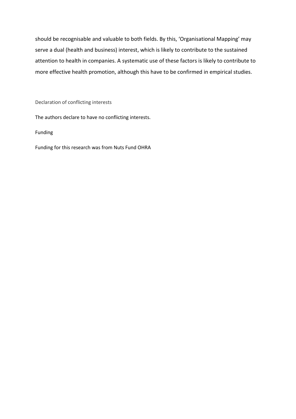should be recognisable and valuable to both fields. By this, 'Organisational Mapping' may serve a dual (health and business) interest, which is likely to contribute to the sustained attention to health in companies. A systematic use of these factors is likely to contribute to more effective health promotion, although this have to be confirmed in empirical studies.

Declaration of conflicting interests

The authors declare to have no conflicting interests.

Funding

Funding for this research was from Nuts Fund OHRA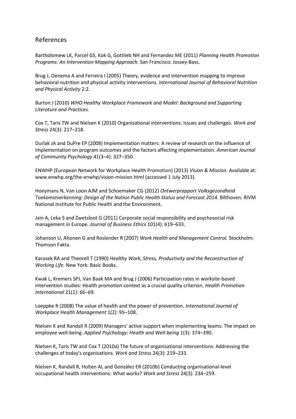# References

Bartholomew LK, Parcel GS, Kok G, Gottlieb NH and Fernandez ME (2011) *Planning Health Promotion Programs: An Intervention Mapping Approach.* San Francisco: Jossey-Bass.

Brug J, Oenema A and Ferreira I (2005) Theory, evidence and intervention mapping to improve behavioral nutrition and physical activity interventions. *International Journal of Behavioral Nutrition and Physical Activity* 2:2.

Burton J (2010) *WHO Healthy Workplace Framework and Model: Background and Supporting Literature and Practices.* 

Cox T, Taris TW and Nielsen K (2010) Organisational interventions: Issues and challenges. *Work and Stress* 24(3): 217–218.

Durlak JA and DuPre EP (2008) Implementation matters: A review of research on the influence of implementation on program outcomes and the factors affecting implementation. *American Journal of Community Psychology* 41(3–4): 327–350.

ENWHP (European Network for Workplace Health Promotion) (2013) *Vision & Mission.* Available at: www.enwhp.org/the-enwhp/vision-mission.html (accessed 1 July 2013).

Hoeymans N, Van Loon AJM and Schoemaker CG (2012) *Ontwerprapport Volksgezondheid Toekomstverkenning: Design of the Nation Public Health Status and Forecast 2014.* Bilthoven: RIVM National Institute for Public Health and the Environment.

Jain A, Leka S and Zwetsloot G (2011) Corporate social responsibility and psychosocial risk management in Europe. *Journal of Business Ethics* 101(4): 619–633.

Johanson U, Ahonen G and Roslender R (2007) *Work Health and Management Control.* Stockholm: Thomson Fakta.

Karasek RA and Theorell T (1990) *Healthy Work, Stress, Productivity and the Reconstruction of Working Life.* New York: Basic Books.

Kwak L, Kremers SPJ, Van Baak MA and Brug J (2006) Participation rates in worksite-based intervention studies: Health promotion context as a crucial quality criterion. *Health Promotion International* 21(1): 66–69.

Loeppke R (2008) The value of health and the power of prevention. *International Journal of Workplace Health Management* 1(2): 95–108.

Nielsen K and Randall R (2009) Managers' active support when implementing teams: The impact on employee well-being. *Applied Psychology: Health and Well-being* 1(3): 374–390.

Nielsen K, Taris TW and Cox T (2010a) The future of organisational interventions: Addressing the challenges of today's organisations. *Work and Stress* 24(3): 219–233.

Nielsen K, Randall R, Holten AL and González ER (2010b) Conducting organisational-level occupational health interventions: What works? *Work and Stress* 24(3): 234–259.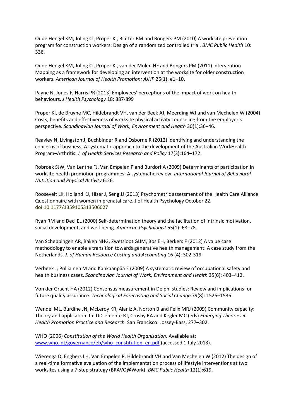Oude Hengel KM, Joling CI, Proper KI, Blatter BM and Bongers PM (2010) A worksite prevention program for construction workers: Design of a randomized controlled trial. *BMC Public Health* 10: 336.

Oude Hengel KM, Joling CI, Proper KI, van der Molen HF and Bongers PM (2011) Intervention Mapping as a framework for developing an intervention at the worksite for older construction workers. *American Journal of Health Promotion: AJHP* 26(1): e1–10.

Payne N, Jones F, Harris PR (2013) Employees' perceptions of the impact of work on health behaviours. *J Health Psychology* 18: 887-899

Proper KI, de Bruyne MC, Hildebrandt VH, van der Beek AJ, Meerding WJ and van Mechelen W (2004) Costs, benefits and effectiveness of worksite physical activity counseling from the employer's perspective. *Scandinavian Journal of Work, Environment and Health* 30(1):36–46.

Reavley N, Livingston J, Buchbinder R and Osborne R (2012) Identifying and understanding the concerns of business: A systematic approach to the development of the Australian WorkHealth Program–Arthritis. *J. of Health Services Research and Policy* 17(3):164–172.

Robroek SJW, Van Lenthe FJ, Van Empelen P and Burdorf A (2009) Determinants of participation in worksite health promotion programmes: A systematic review. *International Journal of Behavioral Nutrition and Physical Activity* 6:26.

Roosevelt LK, Holland KJ, Hiser J, Seng JJ (2013) Psychometric assessment of the Health Care Alliance Questionnaire with women in prenatal care. J of Health Psychology October 22, doi:10.1177/1359105313506027

Ryan RM and Deci EL (2000) Self-determination theory and the facilitation of intrinsic motivation, social development, and well-being. *American Psychologist* 55(1): 68–78.

Van Scheppingen AR, Baken NHG, Zwetsloot GIJM, Bos EH, Berkers F (2012) A value case methodology to enable a transition towards generative health management: A case study from the Netherlands. *J. of Human Resource Costing and Accounting* 16 (4): 302-319

Verbeek J, Pulliainen M and Kankaanpää E (2009) A systematic review of occupational safety and health business cases. *Scandinavian Journal of Work, Environment and Health* 35(6): 403–412.

Von der Gracht HA (2012) Consensus measurement in Delphi studies: Review and implications for future quality assurance. *Technological Forecasting and Social Change* 79(8): 1525–1536.

Wendel ML, Burdine JN, McLeroy KR, Alaniz A, Norton B and Felix MRJ (2009) Community capacity: Theory and application. In: DiClemente RJ, Crosby RA and Kegler MC (eds) *Emerging Theories in Health Promotion Practice and Research.* San Francisco: Jossey-Bass, 277–302.

WHO (2006) *Constitution of the World Health Organisation.* Available at: [www.who.int/governance/eb/who\\_constitution\\_en.pdf](http://www.who.int/governance/eb/who_constitution_en.pdf) (accessed 1 July 2013).

Wierenga D, Engbers LH, Van Empelen P, Hildebrandt VH and Van Mechelen W (2012) The design of a real-time formative evaluation of the implementation process of lifestyle interventions at two worksites using a 7-step strategy (BRAVO@Work). *BMC Public Health* 12(1):619.